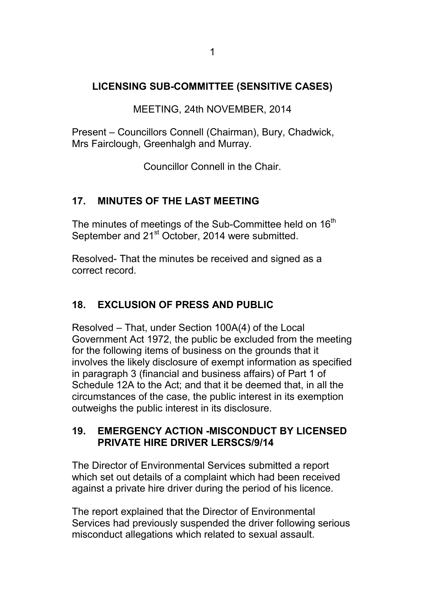## **LICENSING SUB-COMMITTEE (SENSITIVE CASES)**

MEETING, 24th NOVEMBER, 2014

Present – Councillors Connell (Chairman), Bury, Chadwick, Mrs Fairclough, Greenhalgh and Murray.

Councillor Connell in the Chair.

### **17. MINUTES OF THE LAST MEETING**

The minutes of meetings of the Sub-Committee held on 16<sup>th</sup> September and 21<sup>st</sup> October, 2014 were submitted.

Resolved- That the minutes be received and signed as a correct record.

# **18. EXCLUSION OF PRESS AND PUBLIC**

Resolved – That, under Section 100A(4) of the Local Government Act 1972, the public be excluded from the meeting for the following items of business on the grounds that it involves the likely disclosure of exempt information as specified in paragraph 3 (financial and business affairs) of Part 1 of Schedule 12A to the Act; and that it be deemed that, in all the circumstances of the case, the public interest in its exemption outweighs the public interest in its disclosure.

#### **19. EMERGENCY ACTION -MISCONDUCT BY LICENSED PRIVATE HIRE DRIVER LERSCS/9/14**

The Director of Environmental Services submitted a report which set out details of a complaint which had been received against a private hire driver during the period of his licence.

The report explained that the Director of Environmental Services had previously suspended the driver following serious misconduct allegations which related to sexual assault.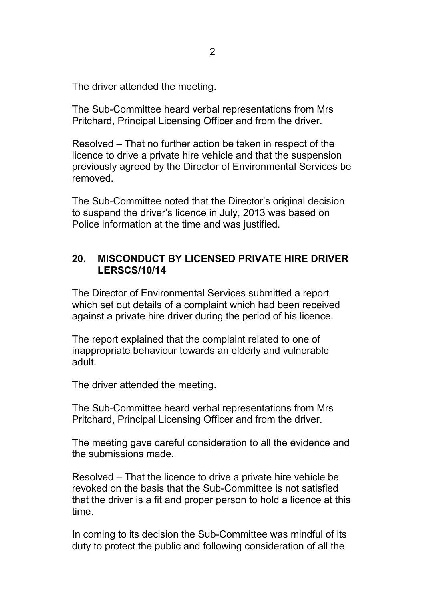The driver attended the meeting.

The Sub-Committee heard verbal representations from Mrs Pritchard, Principal Licensing Officer and from the driver.

Resolved – That no further action be taken in respect of the licence to drive a private hire vehicle and that the suspension previously agreed by the Director of Environmental Services be removed.

The Sub-Committee noted that the Director's original decision to suspend the driver's licence in July, 2013 was based on Police information at the time and was justified.

#### **20. MISCONDUCT BY LICENSED PRIVATE HIRE DRIVER LERSCS/10/14**

The Director of Environmental Services submitted a report which set out details of a complaint which had been received against a private hire driver during the period of his licence.

The report explained that the complaint related to one of inappropriate behaviour towards an elderly and vulnerable adult.

The driver attended the meeting.

The Sub-Committee heard verbal representations from Mrs Pritchard, Principal Licensing Officer and from the driver.

The meeting gave careful consideration to all the evidence and the submissions made.

Resolved – That the licence to drive a private hire vehicle be revoked on the basis that the Sub-Committee is not satisfied that the driver is a fit and proper person to hold a licence at this time.

In coming to its decision the Sub-Committee was mindful of its duty to protect the public and following consideration of all the